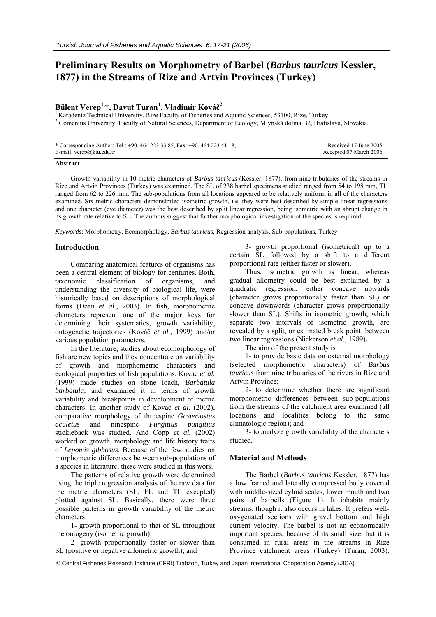# **Preliminary Results on Morphometry of Barbel (***Barbus tauricus* **Kessler, 1877) in the Streams of Rize and Artvin Provinces (Turkey)**

## **Bülent Verep1,\*, Davut Turan1 , Vladimír Kováč 2**

<sup>1</sup> Karadeniz Technical University, Rize Faculty of Fisheries and Aquatic Sciences, 53100, Rize, Turkey. <sup>2</sup> Comenius University, Faculty of Natural Sciences, Department of Ecology, Mlynská dolina B2, Bratislava, Slovakia.

| * Corresponding Author: Tel.: +90. 464 223 33 85, Fax: +90. 464 223 41 18; | Received 17 June 2005  |
|----------------------------------------------------------------------------|------------------------|
| E-mail: $verep@ktu.edu.tr$                                                 | Accepted 07 March 2006 |

#### **Abstract**

Growth variability in 10 metric characters of *Barbus tauricus* (Kessler, 1877), from nine tributaries of the streams in Rize and Artvin Provinces (Turkey) was examined. The SL of 238 barbel specimens studied ranged from 54 to 198 mm, TL ranged from 62 to 226 mm. The sub-populations from all locations appeared to be relatively uniform in all of the characters examined. Six metric characters demonstrated isometric growth, i.e. they were best described by simple linear regressions and one character (eye diameter) was the best described by split linear regression, being isometric with an abrupt change in its growth rate relative to SL. The authors suggest that further morphological investigation of the species is required.

*Keywords*: Morphometry, Ecomorphology, *Barbus tauricus*, Regression analysis, Sub-populations, Turkey

#### **Introduction**

Comparing anatomical features of organisms has been a central element of biology for centuries. Both, taxonomic classification of organisms, and understanding the diversity of biological life, were historically based on descriptions of morphological forms (Dean *et al.*, 2003). In fish, morphometric characters represent one of the major keys for determining their systematics, growth variability, ontogenetic trajectories (Kováč *et al.*, 1999) and/or various population parameters.

In the literature, studies about ecomorphology of fish are new topics and they concentrate on variability of growth and morphometric characters and ecological properties of fish populations. Kovac *et al.* (1999) made studies on stone loach, *Barbatula barbatula,* and examined it in terms of growth variability and breakpoints in development of metric characters. In another study of Kovac *et al.* (2002), comparative morphology of threespine *Gasteriostus aculetus* and ninespine *Pungitius pungitius* stickleback was studied. And Copp *et al.* (2002) worked on growth, morphology and life history traits of *Lepomis gibbosus*. Because of the few studies on morphometric differences between sub-populations of a species in literature, these were studied in this work.

The patterns of relative growth were determined using the triple regression analysis of the raw data for the metric characters (SL, FL and TL excepted) plotted against SL. Basically, there were three possible patterns in growth variability of the metric characters:

1- growth proportional to that of SL throughout the ontogeny (isometric growth);

2- growth proportionally faster or slower than SL (positive or negative allometric growth); and

3- growth proportional (isometrical) up to a certain SL followed by a shift to a different proportional rate (either faster or slower).

Thus, isometric growth is linear, whereas gradual allometry could be best explained by a quadratic regression, either concave upwards (character grows proportionally faster than SL) or concave downwards (character grows proportionally slower than SL). Shifts in isometric growth, which separate two intervals of isometric growth, are revealed by a split, or estimated break point, between two linear regressions (Nickerson *et al.*, 1989)**.**

The aim of the present study is

1- to provide basic data on external morphology (selected morphometric characters) of *Barbus tauricus* from nine tributaries of the rivers in Rize and Artvin Province;

2- to determine whether there are significant morphometric differences between sub-populations from the streams of the catchment area examined (all locations and localities belong to the same climatologic region); and

3- to analyze growth variability of the characters studied.

#### **Material and Methods**

The Barbel (*Barbus tauricus* Kessler, 1877) has a low framed and laterally compressed body covered with middle-sized cyloid scales, lower mouth and two pairs of barbells (Figure 1). It inhabits mainly streams, though it also occurs in lakes. It prefers welloxygenated sections with gravel bottom and high current velocity. The barbel is not an economically important species, because of its small size, but it is consumed in rural areas in the streams in Rize Province catchment areas (Turkey) (Turan, 2003).

© Central Fisheries Research Institute (CFRI) Trabzon, Turkey and Japan International Cooperation Agency (JICA)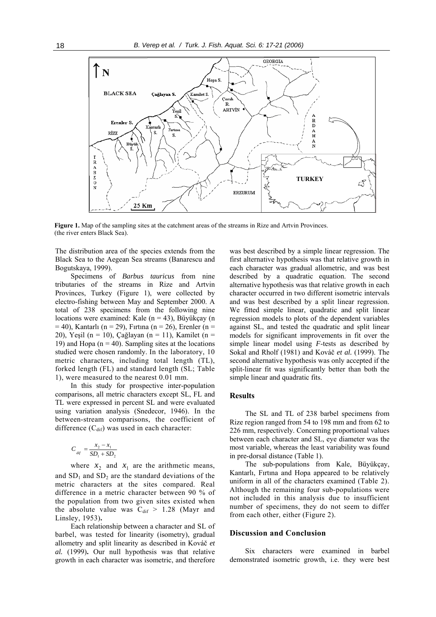

**Figure 1.** Map of the sampling sites at the catchment areas of the streams in Rize and Artvin Provinces. (the river enters Black Sea).

The distribution area of the species extends from the Black Sea to the Aegean Sea streams (Banarescu and Bogutskaya, 1999).

Specimens of *Barbus tauricus* from nine tributaries of the streams in Rize and Artvin Provinces, Turkey (Figure 1), were collected by electro-fishing between May and September 2000. A total of 238 specimens from the following nine locations were examined: Kale ( $n = 43$ ), Büyükçay (n  $= 40$ ), Kantarlı (n = 29), Fırtına (n = 26), Erenler (n = 20), Yeşil (n = 10), Çağlayan (n = 11), Kamilet (n = 19) and Hopa ( $n = 40$ ). Sampling sites at the locations studied were chosen randomly. In the laboratory, 10 metric characters, including total length (TL), forked length (FL) and standard length (SL; Table 1), were measured to the nearest 0.01 mm.

In this study for prospective inter-population comparisons, all metric characters except SL, FL and TL were expressed in percent SL and were evaluated using variation analysis (Snedecor, 1946). In the between-stream comparisons, the coefficient of difference  $(C_{\text{dif}})$  was used in each character:

$$
C_{_{dif}} = \frac{x_2 - x_1}{SD_1 + SD_2}
$$

where  $x_2$  and  $x_1$  are the arithmetic means, and  $SD<sub>1</sub>$  and  $SD<sub>2</sub>$  are the standard deviations of the metric characters at the sites compared. Real difference in a metric character between 90 % of the population from two given sites existed when the absolute value was  $C_{\text{dif}}$  > 1.28 (Mayr and Linsley, 1953)**.**

Each relationship between a character and SL of barbel, was tested for linearity (isometry), gradual allometry and split linearity as described in Kováč *et al.* (1999)**.** Our null hypothesis was that relative growth in each character was isometric, and therefore

was best described by a simple linear regression. The first alternative hypothesis was that relative growth in each character was gradual allometric, and was best described by a quadratic equation. The second alternative hypothesis was that relative growth in each character occurred in two different isometric intervals and was best described by a split linear regression. We fitted simple linear, quadratic and split linear regression models to plots of the dependent variables against SL, and tested the quadratic and split linear models for significant improvements in fit over the simple linear model using *F*-tests as described by Sokal and Rholf (1981) and Kováč *et al.* (1999). The second alternative hypothesis was only accepted if the split-linear fit was significantly better than both the simple linear and quadratic fits.

#### **Results**

The SL and TL of 238 barbel specimens from Rize region ranged from 54 to 198 mm and from 62 to 226 mm, respectively. Concerning proportional values between each character and SL, eye diameter was the most variable, whereas the least variability was found in pre-dorsal distance (Table 1).

The sub-populations from Kale, Büyükçay, Kantarlı, Fırtına and Hopa appeared to be relatively uniform in all of the characters examined (Table 2). Although the remaining four sub-populations were not included in this analysis due to insufficient number of specimens, they do not seem to differ from each other, either (Figure 2).

### **Discussion and Conclusion**

Six characters were examined in barbel demonstrated isometric growth, i.e. they were best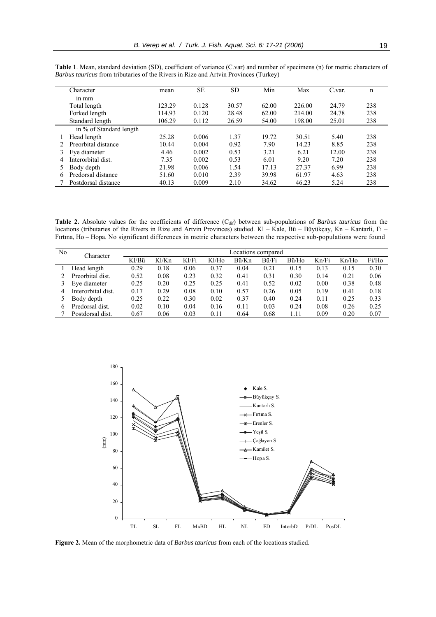|   | Character               | mean   | SЕ    | <b>SD</b> | Min   | Max    | C.var. | n   |
|---|-------------------------|--------|-------|-----------|-------|--------|--------|-----|
|   | $1n$ mm                 |        |       |           |       |        |        |     |
|   | Total length            | 123.29 | 0.128 | 30.57     | 62.00 | 226.00 | 24.79  | 238 |
|   | Forked length           | 114.93 | 0.120 | 28.48     | 62.00 | 214.00 | 24.78  | 238 |
|   | Standard length         | 106.29 | 0.112 | 26.59     | 54.00 | 198.00 | 25.01  | 238 |
|   | in % of Standard length |        |       |           |       |        |        |     |
|   | Head length             | 25.28  | 0.006 | 1.37      | 19.72 | 30.51  | 5.40   | 238 |
|   | Preorbital distance     | 10.44  | 0.004 | 0.92      | 7.90  | 14.23  | 8.85   | 238 |
|   | Eve diameter            | 4.46   | 0.002 | 0.53      | 3.21  | 6.21   | 12.00  | 238 |
|   | Interorbital dist.      | 7.35   | 0.002 | 0.53      | 6.01  | 9.20   | 7.20   | 238 |
|   | Body depth              | 21.98  | 0.006 | 1.54      | 17.13 | 27.37  | 6.99   | 238 |
| 6 | Predorsal distance      | 51.60  | 0.010 | 2.39      | 39.98 | 61.97  | 4.63   | 238 |
|   | Postdorsal distance     | 40.13  | 0.009 | 2.10      | 34.62 | 46.23  | 5.24   | 238 |

**Table 1**. Mean, standard deviation (SD), coefficient of variance (C.var) and number of specimens (n) for metric characters of *Barbus tauricus* from tributaries of the Rivers in Rize and Artvin Provinces (Turkey)

**Table 2.** Absolute values for the coefficients of difference (C<sub>dif</sub>) between sub-populations of *Barbus tauricus* from the locations (tributaries of the Rivers in Rize and Artvin Provinces) studied. Kl – Kale, Bü – Büyükçay, Kn – Kantarli, Fi – Fırtına, Ho – Hopa. No significant differences in metric characters between the respective sub-populations were found

| N <sub>0</sub> | Character          |       |       |       |       | Locations compared |       |       |       |       |       |
|----------------|--------------------|-------|-------|-------|-------|--------------------|-------|-------|-------|-------|-------|
|                |                    | Kl/Bü | Kl/Kn | Kl/Fi | Kl/Ho | Bü/Kn              | Bü/Fi | Bü/Ho | Kn/Fi | Kn/Ho | Fi/Ho |
|                | Head length        | 0.29  | 0.18  | 0.06  | 0.37  | 0.04               | 0.21  | 0.15  | 0.13  | 0.15  | 0.30  |
|                | Preorbital dist.   | 0.52  | 0.08  | 0.23  | 0.32  | 0.41               | 0.31  | 0.30  | 0.14  | 0.21  | 0.06  |
|                | Eve diameter       | 0.25  | 0.20  | 0.25  | 0.25  | 0.41               | 0.52  | 0.02  | 0.00  | 0.38  | 0.48  |
| 4              | Interorbital dist. | 0.17  | 0.29  | 0.08  | 0.10  | 0.57               | 0.26  | 0.05  | 0.19  | 0.41  | 0.18  |
|                | Body depth         | 0.25  | 0.22  | 0.30  | 0.02  | 0.37               | 0.40  | 0.24  | 0.11  | 0.25  | 0.33  |
| h.             | Predorsal dist.    | 0.02  | 0.10  | 0.04  | 0.16  | 0.11               | 0.03  | 0.24  | 0.08  | 0.26  | 0.25  |
|                | Postdorsal dist.   | 0.67  | 0.06  | 0.03  | 0.11  | 0.64               | 0.68  | 1.11  | 0.09  | 0.20  | 0.07  |



**Figure 2.** Mean of the morphometric data of *Barbus tauricus* from each of the locations studied.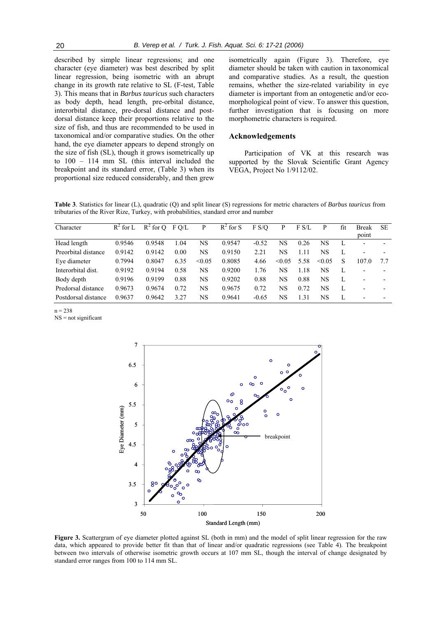described by simple linear regressions; and one character (eye diameter) was best described by split linear regression, being isometric with an abrupt change in its growth rate relative to SL (F-test, Table 3). This means that in *Barbus tauricus* such characters as body depth, head length, pre-orbital distance, interorbital distance, pre-dorsal distance and postdorsal distance keep their proportions relative to the size of fish, and thus are recommended to be used in taxonomical and/or comparative studies. On the other hand, the eye diameter appears to depend strongly on the size of fish (SL), though it grows isometrically up to 100 – 114 mm SL (this interval included the breakpoint and its standard error, (Table 3) when its proportional size reduced considerably, and then grew isometrically again (Figure 3). Therefore, eye diameter should be taken with caution in taxonomical and comparative studies. As a result, the question remains, whether the size-related variability in eye diameter is important from an ontogenetic and/or ecomorphological point of view. To answer this question, further investigation that is focusing on more morphometric characters is required.

#### **Acknowledgements**

Participation of VK at this research was supported by the Slovak Scientific Grant Agency VEGA, Project No 1/9112/02.

**Table 3**. Statistics for linear (L), quadratic (Q) and split linear (S) regressions for metric characters of *Barbus tauricus* from tributaries of the River Rize, Turkey, with probabilities, standard error and number

| Character           | $R^2$ for L | $R^2$ for O | F O/L | P      | $R^2$ for S | F S/O   | P           | F S/L    | P      | fit | <b>Break</b><br>point    | <b>SE</b> |
|---------------------|-------------|-------------|-------|--------|-------------|---------|-------------|----------|--------|-----|--------------------------|-----------|
| Head length         | 0.9546      | 0.9548      | 1.04  | NS     | 0.9547      | $-0.52$ | <b>NS</b>   | 0.26     | NS     | L   |                          |           |
| Preorbital distance | 0.9142      | 0.9142      | 0.00  | NS     | 0.9150      | 2.21    | NS          | .11      | NS     | L   |                          |           |
| Eye diameter        | 0.7994      | 0.8047      | 6.35  | < 0.05 | 0.8085      | 4.66    | $\leq 0.05$ | 5.58     | < 0.05 | S   | 107.0                    | 77        |
| Interorbital dist.  | 0.9192      | 0.9194      | 0.58  | NS     | 0.9200      | 1.76    | NS          | $\pm 18$ | NS     | L   |                          |           |
| Body depth          | 0.9196      | 0.9199      | 0.88  | NS     | 0.9202      | 0.88    | NS          | 0.88     | NS     | L   |                          |           |
| Predorsal distance  | 0.9673      | 0.9674      | 0.72  | NS     | 0.9675      | 0.72    | NS          | 0.72     | NS     | L   | $\overline{\phantom{a}}$ |           |
| Postdorsal distance | 0.9637      | 0.9642      | 3.27  | NS     | 0.9641      | $-0.65$ | NS          | -31      | NS     | L   |                          |           |

 $n = 238$ 

NS = not significant



**Figure 3.** Scattergram of eye diameter plotted against SL (both in mm) and the model of split linear regression for the raw data, which appeared to provide better fit than that of linear and/or quadratic regressions (see Table 4). The breakpoint between two intervals of otherwise isometric growth occurs at 107 mm SL, though the interval of change designated by standard error ranges from 100 to 114 mm SL.